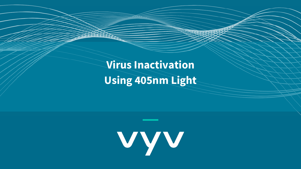**Virus Inactivation Using 405nm Light**

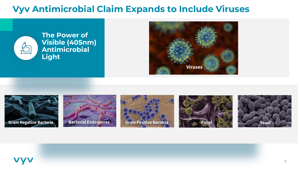#### **Vyv Antimicrobial Claim Expands to Include Viruses**



**The Power of Visible (405nm) Antimicrobial Light**













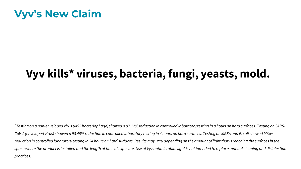### **Vyv's New Claim**

# **Vyv kills\* viruses, bacteria, fungi, yeasts, mold.**

*\*Testing on a non-enveloped virus (MS2 bacteriophage) showed a 97.12% reduction in controlled laboratory testing in 8 hours on hard surfaces. Testing on SARS-CoV-2 (enveloped virus) showed a 98.45% reduction in controlled laboratory testing in 4 hours on hard surfaces. Testing on MRSA and E. coli showed 90%+ reduction in controlled laboratory testing in 24 hours on hard surfaces. Results may vary depending on the amount of light that is reaching the surfaces in the*  space where the product is installed and the length of time of exposure. Use of Vyv antimicrobial light is not intended to replace manual cleaning and disinfection *practices.*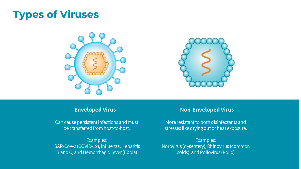## **Types of Viruses**





Can cause persistent infections and must be transferred from host-to-host.

Examples: SAR-CoV-2 (COVID-19), Influenza, Hepatitis B and C, and Hemorrhagic Fever (Ebola)

#### **Enveloped Virus Non-Enveloped Virus**

More resistant to both disinfectants and stresses like drying out or heat exposure.

Examples: Norovirus (dysentery), Rhinovirus (common colds), and Poliovirus (Polio)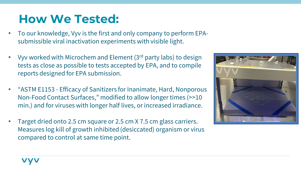# **How We Tested:**

- To our knowledge, Vyv is the first and only company to perform EPAsubmissible viral inactivation experiments with visible light.
- Vyv worked with Microchem and Element (3rd party labs) to design tests as close as possible to tests accepted by EPA, and to compile reports designed for EPA submission.
- "ASTM E1153 Efficacy of Sanitizers for Inanimate, Hard, Nonporous Non-Food Contact Surfaces," modified to allow longer times (>>10 min.) and for viruses with longer half lives, or increased irradiance.
- Target dried onto 2.5 cm square or 2.5 cm X 7.5 cm glass carriers. Measures log kill of growth inhibited (desiccated) organism or virus compared to control at same time point.

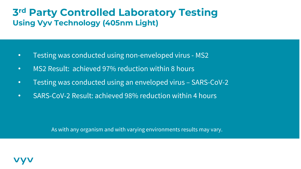#### **3rd Party Controlled Laboratory Testing Using Vyv Technology (405nm Light)**

- Testing was conducted using non-enveloped virus MS2
- MS2 Result: achieved 97% reduction within 8 hours
- Testing was conducted using an enveloped virus SARS-CoV-2
- SARS-CoV-2 Result: achieved 98% reduction within 4 hours

As with any organism and with varying environments results may vary.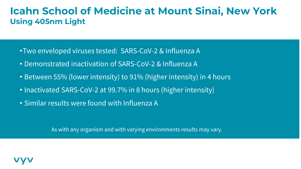#### **Icahn School of Medicine at Mount Sinai, New York Using 405nm Light**

- •Two enveloped viruses tested: SARS-CoV-2 & Influenza A
- Demonstrated inactivation of SARS-CoV-2 & Influenza A
- Between 55% (lower intensity) to 91% (higher intensity) in 4 hours
- Inactivated SARS-CoV-2 at 99.7% in 8 hours (higher intensity)
- Similar results were found with Influenza A

As with any organism and with varying environments results may vary.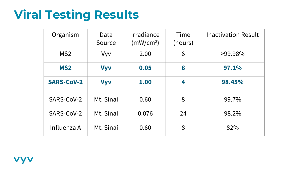# **Viral Testing Results**

| Organism          | Data<br>Source | Irradiance<br>(mW/cm <sup>2</sup> ) | Time<br>(hours) | <b>Inactivation Result</b> |
|-------------------|----------------|-------------------------------------|-----------------|----------------------------|
| MS <sub>2</sub>   | Vyv            | 2.00                                | 6               | >99.98%                    |
| <b>MS2</b>        | <b>Vyv</b>     | 0.05                                | 8               | 97.1%                      |
| <b>SARS-CoV-2</b> | <b>Vyv</b>     | 1.00                                | 4               | 98.45%                     |
| SARS-CoV-2        | Mt. Sinai      | 0.60                                | 8               | 99.7%                      |
| SARS-CoV-2        | Mt. Sinai      | 0.076                               | 24              | 98.2%                      |
| Influenza A       | Mt. Sinai      | 0.60                                | 8               | 82%                        |